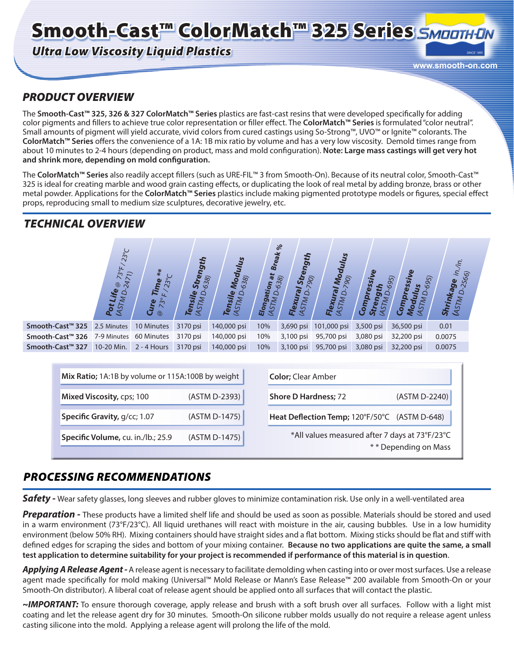# Smooth-Cast™ ColorMatch™ 325 Series SMOOTH-ON

# *Ultra Low Viscosity Liquid Plastics*

**www.smooth-on.com**

# *PRODUCT OVERVIEW*

The **Smooth-Cast™ 325, 326 & 327 ColorMatch™ Series** plastics are fast-cast resins that were developed specifically for adding color pigments and fillers to achieve true color representation or filler effect. The **ColorMatch™ Series** is formulated "color neutral". Small amounts of pigment will yield accurate, vivid colors from cured castings using So-Strong™, UVO™ or Ignite™ colorants. The **ColorMatch™ Series** offers the convenience of a 1A: 1B mix ratio by volume and has a very low viscosity. Demold times range from about 10 minutes to 2-4 hours (depending on product, mass and mold configuration). **Note: Large mass castings will get very hot and shrink more, depending on mold configuration.**

The **ColorMatch™ Series** also readily accept fillers (such as URE-FIL™ 3 from Smooth-On). Because of its neutral color, Smooth-Cast™ 325 is ideal for creating marble and wood grain casting effects, or duplicating the look of real metal by adding bronze, brass or other metal powder. Applications for the **ColorMatch™ Series** plastics include making pigmented prototype models or figures, special effect props, reproducing small to medium size sculptures, decorative jewelry, etc.

# *TECHNICAL OVERVIEW*



| Mix Ratio; 1A:1B by volume or 115A:100B by weight | <b>Color</b> ; Clear Amber                                             |
|---------------------------------------------------|------------------------------------------------------------------------|
| (ASTM D-2393)                                     | <b>Shore D Hardness; 72</b><br>(ASTM D-2240)                           |
| (ASTM D-1475)                                     | Heat Deflection Temp; 120°F/50°C (ASTM D-648)                          |
| (ASTM D-1475)                                     | *All values measured after 7 days at 73°F/23°C<br>** Depending on Mass |
|                                                   |                                                                        |

# *PROCESSING RECOMMENDATIONS*

**Safety** - Wear safety glasses, long sleeves and rubber gloves to minimize contamination risk. Use only in a well-ventilated area

*Preparation -* These products have a limited shelf life and should be used as soon as possible. Materials should be stored and used in a warm environment (73°F/23°C). All liquid urethanes will react with moisture in the air, causing bubbles. Use in a low humidity environment (below 50% RH). Mixing containers should have straight sides and a flat bottom. Mixing sticks should be flat and stiff with defined edges for scraping the sides and bottom of your mixing container. **Because no two applications are quite the same, a small test application to determine suitability for your project is recommended if performance of this material is in question**.

*Applying A Release Agent -* A release agent is necessary to facilitate demolding when casting into or over most surfaces. Use a release agent made specifically for mold making (Universal™ Mold Release or Mann's Ease Release™ 200 available from Smooth-On or your Smooth-On distributor). A liberal coat of release agent should be applied onto all surfaces that will contact the plastic.

*~IMPORTANT:* To ensure thorough coverage, apply release and brush with a soft brush over all surfaces. Follow with a light mist coating and let the release agent dry for 30 minutes. Smooth-On silicone rubber molds usually do not require a release agent unless casting silicone into the mold. Applying a release agent will prolong the life of the mold.